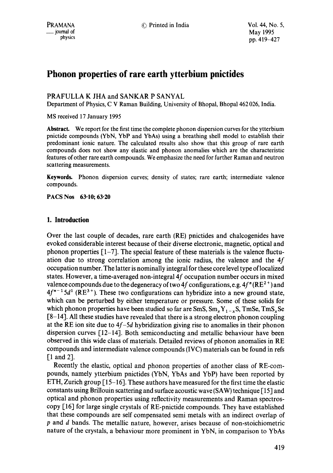# **Phonon properties of rare earth ytterbium pnictides**

# PRAFULLA K JHA and SANKAR P SANYAL

Department of Physics, C V Raman Building, University of Bhopal, Bhopal 462 026, India.

MS received 17 January 1995

**Abstract.** We report for the first time the complete phonon dispersion curves for the ytterbium pnictide compounds (YbN, YbP and YbAs) using a breathing shell model to establish their predominant ionic nature. The calculated results also show that this group of rare earth compounds does not show any elastic and phonon anomalies which are the characteristic features of other rare earth compounds. We emphasize the need for further Raman and neutron scattering measurements.

Keywords. Phonon dispersion curves; density of states; rare earth; intermediate valence compounds.

**PACS Nos 63.10; 63.20** 

# **1. Introduction**

Over the last couple of decades, rare earth (RE) pnictides and chalcogenides have evoked considerable interest because of their diverse electronic, magnetic, optical and phonon properties  $[1-7]$ . The special feature of these materials is the valence fluctuation due to strong correlation among the ionic radius, the valence and the  $4f$ occupation number. The latter is nominally integral for these core level type of localized states. However, a time-averaged non-integral 4f occupation number occurs in mixed valence compounds due to the degeneracy of two 4f configurations, e.g.  $4f''(RE^{2+})$  and  $4f^{n-1}5d^1$  (RE<sup>3+</sup>). These two configurations can hybridize into a new ground state, which can be perturbed by either temperature or pressure. Some of these solids for which phonon properties have been studied so far are  $SmS, Sm_XY_{1-x}S, TmSe, TmS_xSe$ [8-14]. All these studies have revealed that there is a strong electron phonon coupling at the RE ion site due to *4f-5d* hybridization giving rise to anomalies in their phonon dispersion curves [12-14]. Both semiconducting and metallic behaviour have been observed in this wide class of materials. Detailed reviews of phonon anomalies in RE compounds and intermediate valence compounds (IVC) materials can be found in refs [1 and 2].

Recently the elastic, optical and phonon properties of another class of RE-compounds, namely ytterbium pnictides (YbN, YbAs and YbP) have been reported by ETH, Zurich group [15-16]. These authors have measured for the first time the elastic constants using Brillouin scattering and surface acoustic wave (SAW) technique [15] and optical and phonon properties using reflectivity measurements and Raman spectroscopy [16] for large single crystals of RE-pnictide compounds. They have established that these compounds are self compensated semi metals with an indirect overlap of p and d bands. The metallic nature, however, arises because of non-stoichiometric nature of the crystals, a behaviour more prominent in YbN, in comparison to YbAs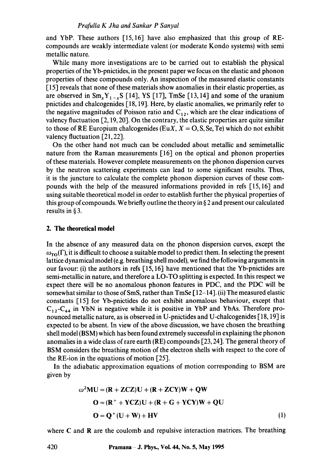and YbP. These authors [15,16] have also emphasized that this group of REcompounds are weakly intermediate valent (or moderate Kondo systems) with semi metallic nature.

While many more investigations are to be carried out to establish the physical properties of the Yb-pnictides, in the present paper we focus on the elastic and phonon properties of these compounds only. An inspection of the measured elastic constants [15] reveals that none of these materials show anomalies in their elastic properties, as are observed in  $\text{Sm}_{x}Y_{1-x}S$  [14], YS [17], TmSe [13, 14] and some of the uranium pnictides and chalcogenides [18, 19]. Here, by elastic anomalies, we primarily refer to the negative magnitudes of Poisson ratio and  $C_{12}$ , which are the clear indications of valency fluctuation [2, 19, 20]. On the contrary, the elastic properties are quite similar to those of RE Europium chalcogenides (EuX,  $X = O$ , S, Se, Te) which do not exhibit valency fluctuation [21, 22].

On the other hand not much can be concluded about metallic and semimetallic nature from the Raman measurements [16] on the optical and phonon properties of these materials. However complete measurements on the phonon dispersion curves by the neutron scattering experiments can lead to some significant results. Thus, it is the juncture to calculate the complete phonon dispersion curves of these compounds with the help of the measured informations provided in refs [15, 16] and using suitable theoretical model in order to establish further the physical properties of this group of compounds. We briefly outline the theory in  $\S$  2 and present our calculated results in § 3.

#### **2. The theoretical model**

In the absence of any measured data on the phonon dispersion curves, except the  $\omega_{TO}(\Gamma)$ , it is difficult to choose a suitable model to predict them. In selecting the present lattice dynamical model (e.g. breathing shell model), we find the following arguments in our favour: (i) the authors in refs [15, 16] have mentioned that the Yb-pnictides are semi-metallic in nature, and therefore a LO-TO splitting is expected. In this respect we expect there will be no anomalous phonon features in PDC, and the PDC will be somewhat similar to those of SmS, rather than  $\text{TmSe}$  [12-14]. (ii) The measured elastic constants [15] for Yb-pnictides do not exhibit anomalous behaviour, except that  $C_{12}$ -C<sub>44</sub> in YbN is negative while it is positive in YbP and YbAs. Therefore pronounced metallic nature, as is observed in U-pnictides and U-chalcogenides [18, 19] is expected to be absent. In view of the above discussion, we have chosen the breathing shell model (BSM) which has been found extremely successful in explaining the phonon anomalies in a wide class of rare earth (RE) compounds [23, 24]. The general theory of BSM considers the breathing motion of the electron shells with respect to the core of the RE-ion in the equations of motion [25].

In the adiabatic approximation equations of motion corresponding to BSM are given by

$$
\omega^2 MU = (R + ZCZ)U + (R + ZCY)W + QW
$$
  
\n
$$
O = (R^+ + YCZ)U + (R + G + YCY)W + QU
$$
  
\n
$$
O = Q^+(U + W) + HV
$$
 (1)

where C and R are the coulomb and repulsive interaction matrices. The breathing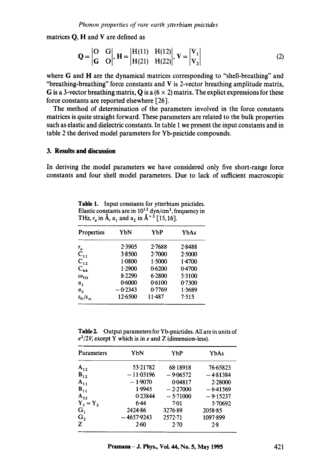matrices Q, H and V are defined as

$$
Q = \begin{vmatrix} O & G \\ G & O \end{vmatrix}, H = \begin{vmatrix} H(11) & H(12) \\ H(21) & H(22) \end{vmatrix}, V = \begin{vmatrix} V_1 \\ V_2 \end{vmatrix}
$$
 (2)

where G and H are the dynamical matrices corresponding to "shell-breathing" and "breathing-breathing" force constants and  $V$  is 2-vector breathing amplitude matrix, G is a 3-vector breathing matrix, Q is a  $(6 \times 2)$  matrix. The explict expressions for these force constants are reported elsewhere [26].

The method of determination of the parameters involved in the force constants matrices is quite straight forward. These parameters are related to the bulk properties such as elastic and dielectric constants. In table 1 we present the input constants and in table 2 the derived model parameters for Yb-pnictide compounds.

## **3. Results and discussion**

In deriving the model parameters we have considered only five short-range force constants and four shell model parameters. Due to lack of sufficient macroscopic

**Table** 1. Input constants for ytterbium pnictides. Elastic constants are in  $10^{12}$  dyn/cm<sup>2</sup>, frequency in THz,  $r_a$  in  $\AA$ ,  $\alpha_1$  and  $\alpha_2$  in  $\AA$ <sup>+3</sup> [15, 16].

| Properties                     | YbN       | YbP        | YbAs       |
|--------------------------------|-----------|------------|------------|
| $r_o$                          | 2.3905    | 2.7688     | $2 - 8488$ |
| $\overline{C}_{11}$            | 3.8500    | 2.7000     | 2.5000     |
| $C_{12}$                       | 1.0800    | 1.5000     | 1.4700     |
| $C_{44}$                       | 1.2900    | 0.6200     | 0.4700     |
| $\omega_{\text{TO}}$           | 8.2290    | 6.2800     | 5.3100     |
| $\alpha_{1}$                   | 0.6000    | 0.6100     | 0.7300     |
| $\alpha_{2}$                   | $-0.2343$ | 0.7769     | 1.3689     |
| $\epsilon_0/\epsilon_{\infty}$ | 12.6500   | $11 - 487$ | 7.515      |

Table 2. Output parameters for Yb-pnictides. All are in units of  $e^2/2V$ , except Y which is in e and Z (dimension-less).

| Parameters     | YbN          | YbP        | YbAs       |
|----------------|--------------|------------|------------|
| $A_{12}$       | 53.21782     | 68.18918   | 76.65823   |
| $B_{12}$       | $-11.03196$  | $-9.06572$ | $-4.81384$ |
| $A_{11}$       | $-1.9070$    | 0.04817    | 2.28000    |
| $B_{11}$       | 1.9945       | $-2.27000$ | $-6.41569$ |
| $A_{22}$       | 0.23844      | $-5.71000$ | $-9.15237$ |
| $Y_1 = Y_2$    | 6.44         | 7.01       | 5.70692    |
| $G_1$          | 2424.86      | 3276.89    | 2058.85    |
| G <sub>2</sub> | $-4657.9243$ | 2572.71    | 1097.899   |
| $\mathbf{z}$   | $2-60$       | 2.70       | 2.8        |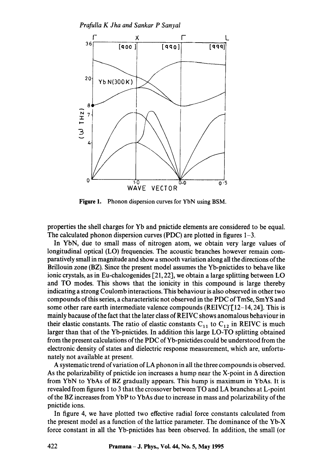

**Figure** 1. Phonon dispersion curves for YbN using BSM.

properties the shell charges for Yb and pnictide elements are considered to be equal. The calculated phonon dispersion curves (PDC) are plotted in figures 1-3.

In YbN, due to small mass of nitrogen atom, we obtain very large values of longitudinal optical (LO) frequencies. The acoustic branches however remain comparatively small in magnitude and show a smooth variation along all the directions of the Brillouin zone (BZ). Since the present model assumes the Yb-pnictides to behave like ionic crystals, as in Eu-chalcogenides [21, 22], we obtain a large splitting between LO and TO modes. This shows that the ionicity in this compound is large thereby indicating a strong Coulomb interactions. This behaviour is also observed in other two compounds of this series, a characteristic not observed in the PDC of TmSe, SmYS and some other rare earth intermediate valence compounds  $(REIVC)$ <sup> $[12-14, 24]$ </sup>. This is mainly bacause of the fact that the later class of REIVC shows anomalous behaviour in their elastic constants. The ratio of elastic constants  $C_{11}$  to  $C_{12}$  in REIVC is much larger than that of the Yb-pnictides. In addition this large LO-TO splitting obtained from the present calculations of the PDC of Yb-pnictides could be understood from the electronic density of states and dielectric response measurement, which are, unfortunately not available at present.

A systematic trend of variation of LA phonon in all the three compounds is observed. As the polarizability of pnictide ion increases a hump near the X-point in  $\Delta$  direction from YbN to YbAs of BZ gradually appears. This hump is maximum in YbAs. It is revealed from figures 1 to 3 that the crossover between TO and LA branches at L-point of the BZ increases from YbP to YbAs due to increase in mass and polarizability of the pnictide ions.

In figure 4, we have plotted two effective radial force constants calculated from the present model as a function of the lattice parameter. The dominance of the Yb-X force constant in all the Yb-pnictides has been observed. In addition, the small (or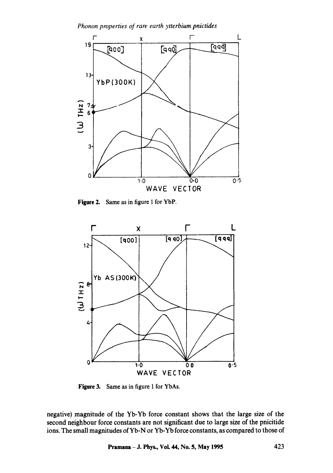

Figure 2. Same as in figure 1 for YbP.



Figure 3. Same as in figure 1 for YbAs.

negative) magnitude of the Yb-Yb force constant shows that the large size of the second neighbour force constants are not significant due to large size of the pnicitide ions. The small magnitudes of Yb-N or Yb-Yb force constants, as compared to those of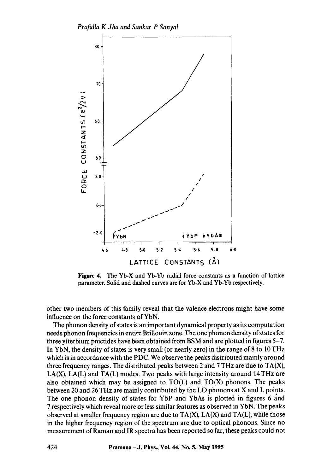

**Figure 4. The Yb-X and Yb-Yb radial force constants as a function of lattice parameter. Solid and dashed curves are for Yb-X and Yb-Yb respectively.** 

**other two members of this family reveal that the valence electrons might have some influence on the force constants of YbN.** 

**The phonon density of states is an important dynamical property as its computation needs phonon frequencies in entire Brillouin zone. The one phonon density of states for three ytterbium pnictides have been obtained from BSM and are plotted in figures 5-7. In YbN, the density of states is very small (or nearly zero) in the range of 8 to 10 THz which is in accordance with the PDC. We observe the peaks distributed mainly around three frequency ranges. The distributed peaks between 2 and 7 THz are due to TA(X), LA(X), LA(L) and TA(L) modes. Two peaks with large intensity around 14THz are also obtained which may be assigned to TO(L) and TO(X) phonons. The peaks between 20 and 26 THz are mainly contributed by the LO phonons at X and L points. The one phonon density of states for YbP and YbAs is plotted in figures 6 and 7 respectively which reveal more or less similar features as observed in YbN. The peaks observed at smaller frequency region are due to TA(X), LA(X) and TA(L), while those in the higher frequency region of the spectrum are due to optical phonons. Since no measurement of Raman and IR spectra has been reported so far, these peaks could not**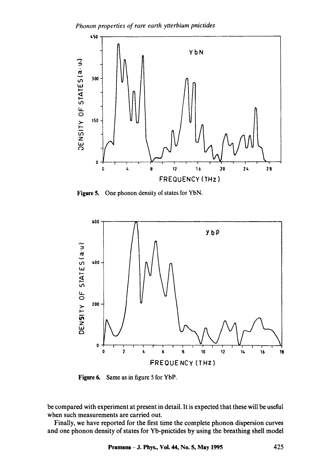*Phonon properties of rare earth ytterbium pnictides* 



Figure 5. One phonon density of states for YbN.



**Figure 6.**  Same as in figure 5 for YbP.

be compared with experiment at present in detail. It is expected that these will be useful when such measurements are carried out.

Finally, we have reported for the first time the complete phonon dispersion curves and one phonon density of states for Yb-pnictides by using the breathing shell model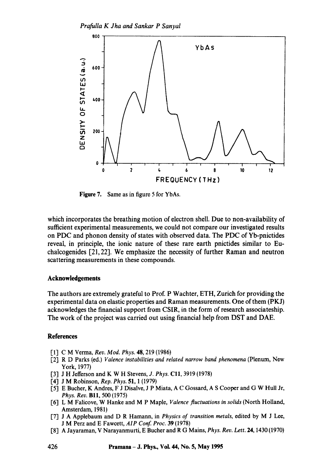

**Figure** 7. Same as in figure 5 for YbAs.

which incorporates the breathing motion of electron shell. Due to non-availability of sufficient experimental measurements, we could not compare our investigated results on PDC and phonon density of states with observed data. The PDC of Yb-pnictides reveal, in principle, the ionic nature of these rare earth pnictides similar to Euchalcogenides [21,22]. We emphasize the necessity of further Raman and neutron scattering measurements in these compounds.

#### **Acknowledgements**

The authors are extremely grateful to Prof. P Wachter, ETH, Zurich for providing the experimental data on elastic properties and Raman measurements. One of them (PKJ) acknowledges the financial support from CSIR, in the form of research associateship. The work of the project was carried out using financial help from DST and DAE.

### **References**

- [1] C M Verma, *Rev. Mod. Phys.* 48, 219 (1986)
- [2] R D Parks (ed.) *Valence instabilities and related narrow band phenomena* (Plenum, New York, 1977)
- I'3] J H Jefferson and K W H Stevens, *J. Phys.* Ell, 3919 (1978)
- 1'4] J M Robinson, *Rep. Phys.* 51, 1 (1979)
- [5] E Bucher, K Andres, F J Disalve, J P Miata, A C Gossard, A S Cooper and G W Hull Jr, *Phys. Rev.* BII, 500 (1975)
- I-6"1 L M Falieove, W Hanke and M P Maple, *Valence fluctuations in solids* (North Holland, Amsterdam, 1981)
- 1-7"1 J A Applebaum and D R Hamann, in *Physics of transition metals,* edited by M J Lee, J M Perz and E Fawcett, *AlP Conf. Proc.* 39 (1978)
- 1-8"1 A Jayaraman, V Narayanmurti, E Bucher and R G Mains, *Phys. Rev. Lett.* 24, 1430 (1970)